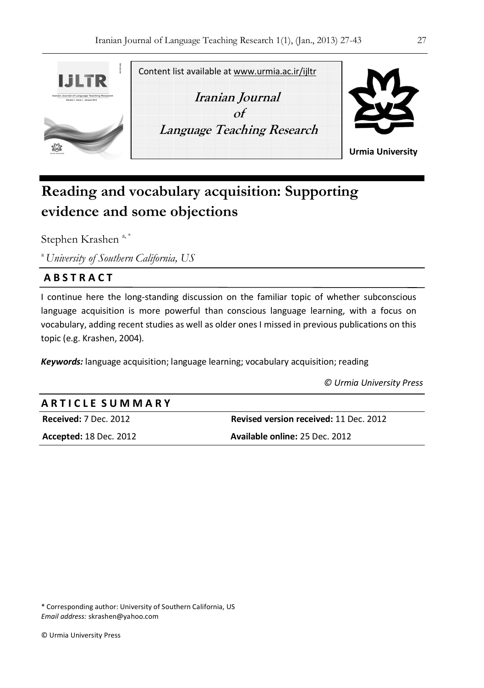

# **Reading and vocabulary acquisition: Supporting evidence and some objections**

Stephen Krashen<sup>a,\*</sup>

<sup>a</sup>*University of Southern California, US*

### **A B S T R A C T**

I continue here the long-standing discussion on the familiar topic of whether subconscious language acquisition is more powerful than conscious language learning, with a focus on vocabulary, adding recent studies as well as older ones I missed in previous publications on this topic (e.g. Krashen, 2004).

*Keywords:* language acquisition; language learning; vocabulary acquisition; reading

 *© Urmia University Press* 

#### **A R T I C L E S U M M A R Y**

**Received:** 7 Dec. 2012 **Revised version received:** 11 Dec. 2012 **Accepted:** 18 Dec. 2012 **Available online:** 25 Dec. 2012

\* Corresponding author: University of Southern California, US *Email address:* skrashen@yahoo.com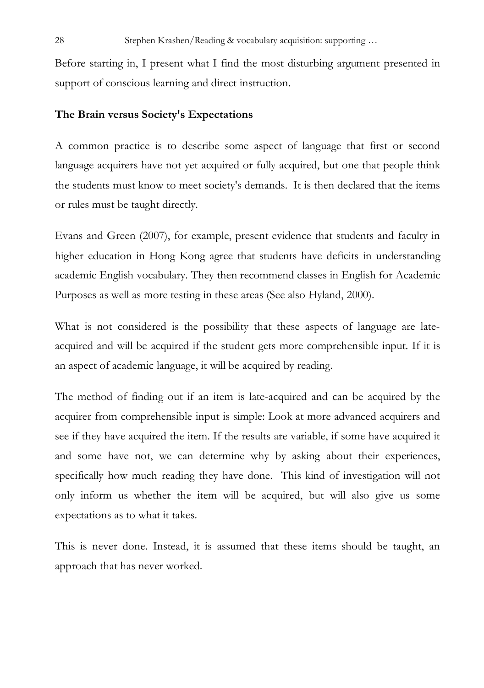Before starting in, I present what I find the most disturbing argument presented in support of conscious learning and direct instruction.

#### **The Brain versus Society's Expectations**

A common practice is to describe some aspect of language that first or second language acquirers have not yet acquired or fully acquired, but one that people think the students must know to meet society's demands. It is then declared that the items or rules must be taught directly.

Evans and Green (2007), for example, present evidence that students and faculty in higher education in Hong Kong agree that students have deficits in understanding academic English vocabulary. They then recommend classes in English for Academic Purposes as well as more testing in these areas (See also Hyland, 2000).

What is not considered is the possibility that these aspects of language are lateacquired and will be acquired if the student gets more comprehensible input. If it is an aspect of academic language, it will be acquired by reading.

The method of finding out if an item is late-acquired and can be acquired by the acquirer from comprehensible input is simple: Look at more advanced acquirers and see if they have acquired the item. If the results are variable, if some have acquired it and some have not, we can determine why by asking about their experiences, specifically how much reading they have done. This kind of investigation will not only inform us whether the item will be acquired, but will also give us some expectations as to what it takes.

This is never done. Instead, it is assumed that these items should be taught, an approach that has never worked.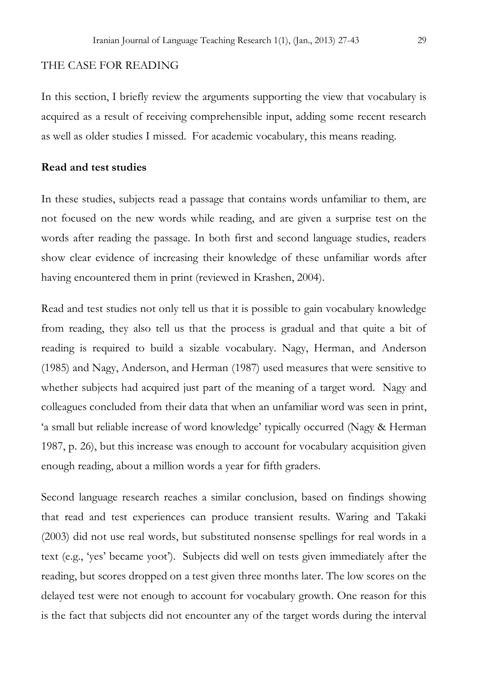#### THE CASE FOR READING

In this section, I briefly review the arguments supporting the view that vocabulary is acquired as a result of receiving comprehensible input, adding some recent research as well as older studies I missed. For academic vocabulary, this means reading.

#### **Read and test studies**

In these studies, subjects read a passage that contains words unfamiliar to them, are not focused on the new words while reading, and are given a surprise test on the words after reading the passage. In both first and second language studies, readers show clear evidence of increasing their knowledge of these unfamiliar words after having encountered them in print (reviewed in Krashen, 2004).

Read and test studies not only tell us that it is possible to gain vocabulary knowledge from reading, they also tell us that the process is gradual and that quite a bit of reading is required to build a sizable vocabulary. Nagy, Herman, and Anderson (1985) and Nagy, Anderson, and Herman (1987) used measures that were sensitive to whether subjects had acquired just part of the meaning of a target word. Nagy and colleagues concluded from their data that when an unfamiliar word was seen in print, 'a small but reliable increase of word knowledge' typically occurred (Nagy & Herman 1987, p. 26), but this increase was enough to account for vocabulary acquisition given enough reading, about a million words a year for fifth graders.

Second language research reaches a similar conclusion, based on findings showing that read and test experiences can produce transient results. Waring and Takaki (2003) did not use real words, but substituted nonsense spellings for real words in a text (e.g., 'yes' became yoot'). Subjects did well on tests given immediately after the reading, but scores dropped on a test given three months later. The low scores on the delayed test were not enough to account for vocabulary growth. One reason for this is the fact that subjects did not encounter any of the target words during the interval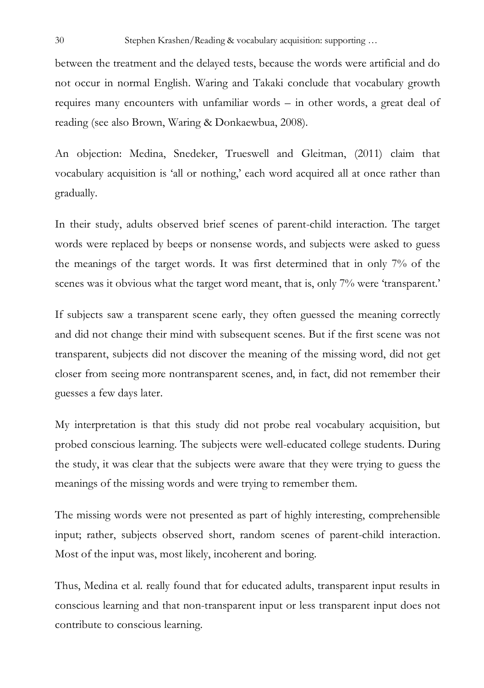between the treatment and the delayed tests, because the words were artificial and do not occur in normal English. Waring and Takaki conclude that vocabulary growth requires many encounters with unfamiliar words – in other words, a great deal of reading (see also Brown, Waring & Donkaewbua, 2008).

An objection: Medina, Snedeker, Trueswell and Gleitman, (2011) claim that vocabulary acquisition is 'all or nothing,' each word acquired all at once rather than gradually.

In their study, adults observed brief scenes of parent-child interaction. The target words were replaced by beeps or nonsense words, and subjects were asked to guess the meanings of the target words. It was first determined that in only 7% of the scenes was it obvious what the target word meant, that is, only 7% were 'transparent.'

If subjects saw a transparent scene early, they often guessed the meaning correctly and did not change their mind with subsequent scenes. But if the first scene was not transparent, subjects did not discover the meaning of the missing word, did not get closer from seeing more nontransparent scenes, and, in fact, did not remember their guesses a few days later.

My interpretation is that this study did not probe real vocabulary acquisition, but probed conscious learning. The subjects were well-educated college students. During the study, it was clear that the subjects were aware that they were trying to guess the meanings of the missing words and were trying to remember them.

The missing words were not presented as part of highly interesting, comprehensible input; rather, subjects observed short, random scenes of parent-child interaction. Most of the input was, most likely, incoherent and boring.

Thus, Medina et al. really found that for educated adults, transparent input results in conscious learning and that non-transparent input or less transparent input does not contribute to conscious learning.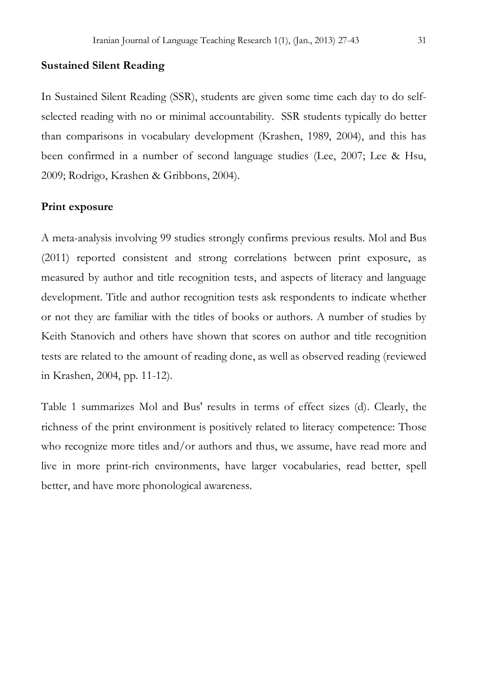#### **Sustained Silent Reading**

In Sustained Silent Reading (SSR), students are given some time each day to do selfselected reading with no or minimal accountability. SSR students typically do better than comparisons in vocabulary development (Krashen, 1989, 2004), and this has been confirmed in a number of second language studies (Lee, 2007; Lee & Hsu, 2009; Rodrigo, Krashen & Gribbons, 2004).

#### **Print exposure**

A meta-analysis involving 99 studies strongly confirms previous results. Mol and Bus (2011) reported consistent and strong correlations between print exposure, as measured by author and title recognition tests, and aspects of literacy and language development. Title and author recognition tests ask respondents to indicate whether or not they are familiar with the titles of books or authors. A number of studies by Keith Stanovich and others have shown that scores on author and title recognition tests are related to the amount of reading done, as well as observed reading (reviewed in Krashen, 2004, pp. 11-12).

Table 1 summarizes Mol and Bus' results in terms of effect sizes (d). Clearly, the richness of the print environment is positively related to literacy competence: Those who recognize more titles and/or authors and thus, we assume, have read more and live in more print-rich environments, have larger vocabularies, read better, spell better, and have more phonological awareness.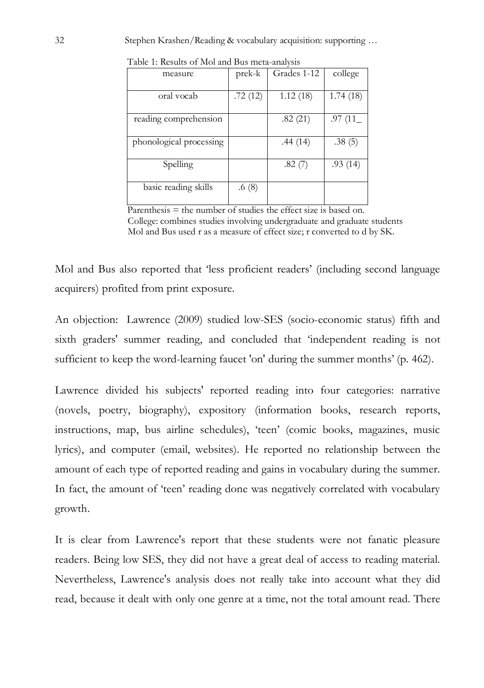|                         | Table 1. Results of Mol and Dus incla-analysis |             |          |  |
|-------------------------|------------------------------------------------|-------------|----------|--|
| measure                 | prek-k                                         | Grades 1-12 | college  |  |
|                         |                                                |             |          |  |
| oral vocab              | .72(12)                                        | 1.12(18)    | 1.74(18) |  |
|                         |                                                |             |          |  |
| reading comprehension   |                                                | .82(21)     | .97(11)  |  |
|                         |                                                |             |          |  |
| phonological processing |                                                | .44(14)     | .38(5)   |  |
|                         |                                                |             |          |  |
| Spelling                |                                                | .82(7)      | .93(14)  |  |
|                         |                                                |             |          |  |
| basic reading skills    | .6(8)                                          |             |          |  |
|                         |                                                |             |          |  |

Table 1: Results of Mol and Bus meta-analysis

Parenthesis = the number of studies the effect size is based on. College: combines studies involving undergraduate and graduate students Mol and Bus used r as a measure of effect size; r converted to d by SK.

Mol and Bus also reported that 'less proficient readers' (including second language acquirers) profited from print exposure.

An objection: Lawrence (2009) studied low-SES (socio-economic status) fifth and sixth graders' summer reading, and concluded that 'independent reading is not sufficient to keep the word-learning faucet 'on' during the summer months' (p. 462).

Lawrence divided his subjects' reported reading into four categories: narrative (novels, poetry, biography), expository (information books, research reports, instructions, map, bus airline schedules), 'teen' (comic books, magazines, music lyrics), and computer (email, websites). He reported no relationship between the amount of each type of reported reading and gains in vocabulary during the summer. In fact, the amount of 'teen' reading done was negatively correlated with vocabulary growth.

It is clear from Lawrence's report that these students were not fanatic pleasure readers. Being low SES, they did not have a great deal of access to reading material. Nevertheless, Lawrence's analysis does not really take into account what they did read, because it dealt with only one genre at a time, not the total amount read. There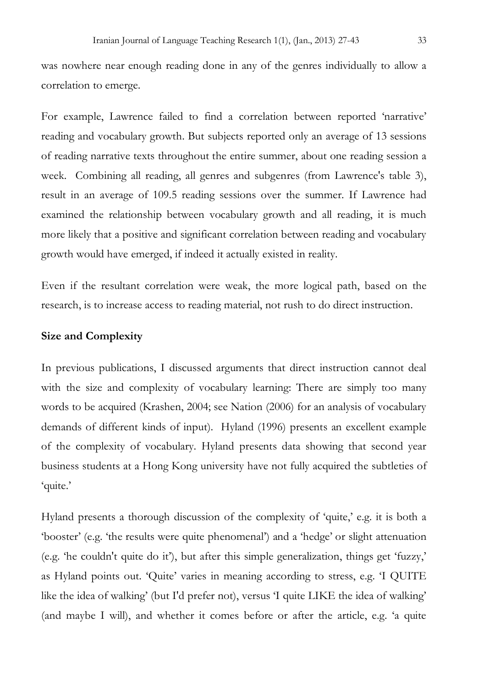was nowhere near enough reading done in any of the genres individually to allow a correlation to emerge.

For example, Lawrence failed to find a correlation between reported 'narrative' reading and vocabulary growth. But subjects reported only an average of 13 sessions of reading narrative texts throughout the entire summer, about one reading session a week. Combining all reading, all genres and subgenres (from Lawrence's table 3), result in an average of 109.5 reading sessions over the summer. If Lawrence had examined the relationship between vocabulary growth and all reading, it is much more likely that a positive and significant correlation between reading and vocabulary growth would have emerged, if indeed it actually existed in reality.

Even if the resultant correlation were weak, the more logical path, based on the research, is to increase access to reading material, not rush to do direct instruction.

#### **Size and Complexity**

In previous publications, I discussed arguments that direct instruction cannot deal with the size and complexity of vocabulary learning: There are simply too many words to be acquired (Krashen, 2004; see Nation (2006) for an analysis of vocabulary demands of different kinds of input). Hyland (1996) presents an excellent example of the complexity of vocabulary. Hyland presents data showing that second year business students at a Hong Kong university have not fully acquired the subtleties of 'quite.'

Hyland presents a thorough discussion of the complexity of 'quite,' e.g. it is both a 'booster' (e.g. 'the results were quite phenomenal') and a 'hedge' or slight attenuation (e.g. 'he couldn't quite do it'), but after this simple generalization, things get 'fuzzy,' as Hyland points out. 'Quite' varies in meaning according to stress, e.g. 'I QUITE like the idea of walking' (but I'd prefer not), versus 'I quite LIKE the idea of walking' (and maybe I will), and whether it comes before or after the article, e.g. 'a quite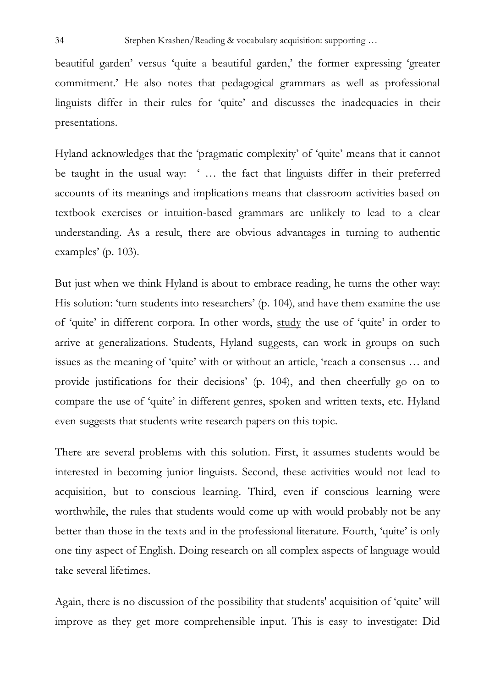beautiful garden' versus 'quite a beautiful garden,' the former expressing 'greater commitment.' He also notes that pedagogical grammars as well as professional linguists differ in their rules for 'quite' and discusses the inadequacies in their presentations.

Hyland acknowledges that the 'pragmatic complexity' of 'quite' means that it cannot be taught in the usual way: ' … the fact that linguists differ in their preferred accounts of its meanings and implications means that classroom activities based on textbook exercises or intuition-based grammars are unlikely to lead to a clear understanding. As a result, there are obvious advantages in turning to authentic examples' (p. 103).

But just when we think Hyland is about to embrace reading, he turns the other way: His solution: 'turn students into researchers' (p. 104), and have them examine the use of 'quite' in different corpora. In other words, study the use of 'quite' in order to arrive at generalizations. Students, Hyland suggests, can work in groups on such issues as the meaning of 'quite' with or without an article, 'reach a consensus … and provide justifications for their decisions' (p. 104), and then cheerfully go on to compare the use of 'quite' in different genres, spoken and written texts, etc. Hyland even suggests that students write research papers on this topic.

There are several problems with this solution. First, it assumes students would be interested in becoming junior linguists. Second, these activities would not lead to acquisition, but to conscious learning. Third, even if conscious learning were worthwhile, the rules that students would come up with would probably not be any better than those in the texts and in the professional literature. Fourth, 'quite' is only one tiny aspect of English. Doing research on all complex aspects of language would take several lifetimes.

Again, there is no discussion of the possibility that students' acquisition of 'quite' will improve as they get more comprehensible input. This is easy to investigate: Did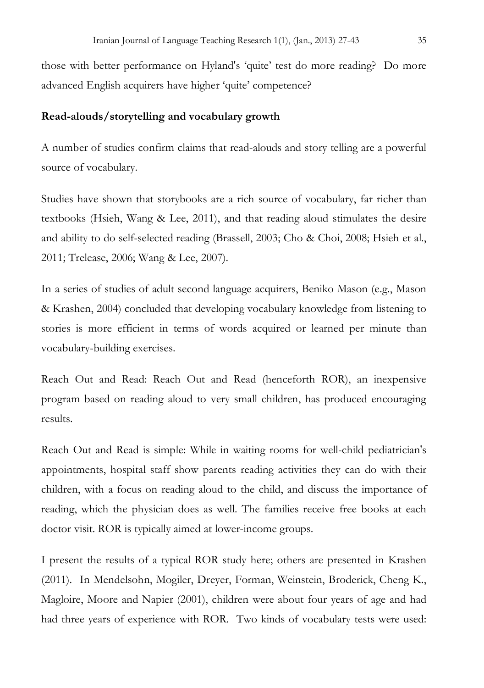those with better performance on Hyland's 'quite' test do more reading? Do more advanced English acquirers have higher 'quite' competence?

#### **Read-alouds/storytelling and vocabulary growth**

A number of studies confirm claims that read-alouds and story telling are a powerful source of vocabulary.

Studies have shown that storybooks are a rich source of vocabulary, far richer than textbooks (Hsieh, Wang & Lee, 2011), and that reading aloud stimulates the desire and ability to do self-selected reading (Brassell, 2003; Cho & Choi, 2008; Hsieh et al., 2011; Trelease, 2006; Wang & Lee, 2007).

In a series of studies of adult second language acquirers, Beniko Mason (e.g., Mason & Krashen, 2004) concluded that developing vocabulary knowledge from listening to stories is more efficient in terms of words acquired or learned per minute than vocabulary-building exercises.

Reach Out and Read: Reach Out and Read (henceforth ROR), an inexpensive program based on reading aloud to very small children, has produced encouraging results.

Reach Out and Read is simple: While in waiting rooms for well-child pediatrician's appointments, hospital staff show parents reading activities they can do with their children, with a focus on reading aloud to the child, and discuss the importance of reading, which the physician does as well. The families receive free books at each doctor visit. ROR is typically aimed at lower-income groups.

I present the results of a typical ROR study here; others are presented in Krashen (2011). In Mendelsohn, Mogiler, Dreyer, Forman, Weinstein, Broderick, Cheng K., Magloire, Moore and Napier (2001), children were about four years of age and had had three years of experience with ROR. Two kinds of vocabulary tests were used: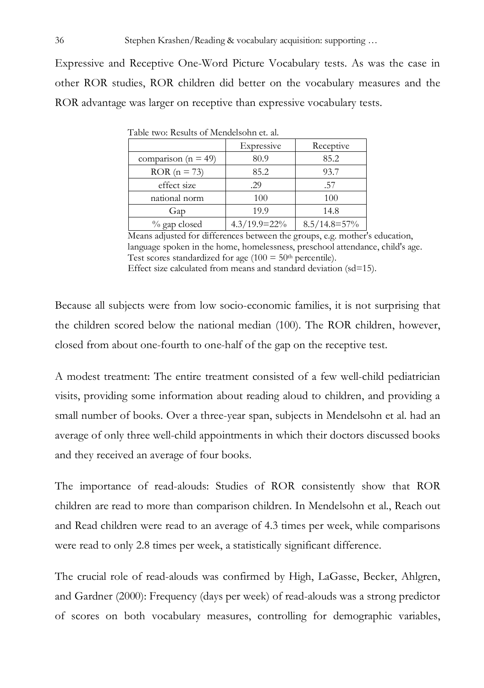Expressive and Receptive One-Word Picture Vocabulary tests. As was the case in other ROR studies, ROR children did better on the vocabulary measures and the ROR advantage was larger on receptive than expressive vocabulary tests.

|                         | Expressive      | Receptive         |
|-------------------------|-----------------|-------------------|
| comparison ( $n = 49$ ) | 80.9            | 85.2              |
| $ROR (n = 73)$          | 85.2            | 93.7              |
| effect size             | .29             | .57               |
| national norm           | 100             | 100               |
| Gap                     | 19.9            | 14.8              |
| % gap closed            | $4.3/19.9=22\%$ | $8.5/14.8 = 57\%$ |

Table two: Results of Mendelsohn et. al.

 Means adjusted for differences between the groups, e.g. mother's education, language spoken in the home, homelessness, preschool attendance, child's age. Test scores standardized for age ( $100 = 50$ <sup>th</sup> percentile).

Effect size calculated from means and standard deviation (sd=15).

Because all subjects were from low socio-economic families, it is not surprising that the children scored below the national median (100). The ROR children, however, closed from about one-fourth to one-half of the gap on the receptive test.

A modest treatment: The entire treatment consisted of a few well-child pediatrician visits, providing some information about reading aloud to children, and providing a small number of books. Over a three-year span, subjects in Mendelsohn et al. had an average of only three well-child appointments in which their doctors discussed books and they received an average of four books.

The importance of read-alouds: Studies of ROR consistently show that ROR children are read to more than comparison children. In Mendelsohn et al., Reach out and Read children were read to an average of 4.3 times per week, while comparisons were read to only 2.8 times per week, a statistically significant difference.

The crucial role of read-alouds was confirmed by High, LaGasse, Becker, Ahlgren, and Gardner (2000): Frequency (days per week) of read-alouds was a strong predictor of scores on both vocabulary measures, controlling for demographic variables,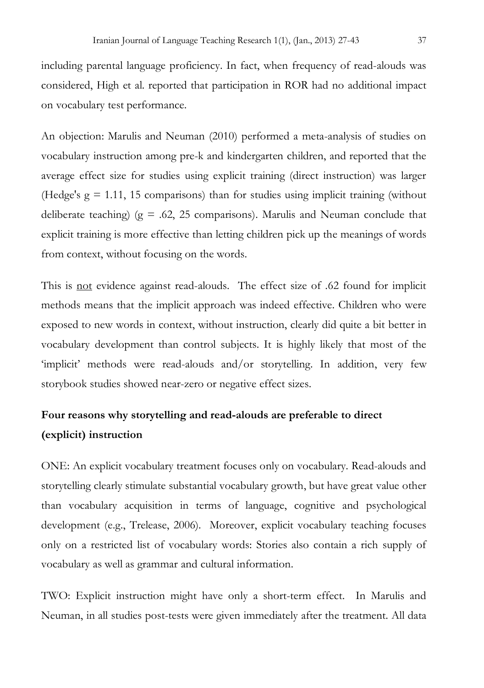including parental language proficiency. In fact, when frequency of read-alouds was considered, High et al. reported that participation in ROR had no additional impact on vocabulary test performance.

An objection: Marulis and Neuman (2010) performed a meta-analysis of studies on vocabulary instruction among pre-k and kindergarten children, and reported that the average effect size for studies using explicit training (direct instruction) was larger (Hedge's  $g = 1.11$ , 15 comparisons) than for studies using implicit training (without deliberate teaching) ( $g = .62, 25$  comparisons). Marulis and Neuman conclude that explicit training is more effective than letting children pick up the meanings of words from context, without focusing on the words.

This is not evidence against read-alouds. The effect size of .62 found for implicit methods means that the implicit approach was indeed effective. Children who were exposed to new words in context, without instruction, clearly did quite a bit better in vocabulary development than control subjects. It is highly likely that most of the 'implicit' methods were read-alouds and/or storytelling. In addition, very few storybook studies showed near-zero or negative effect sizes.

## **Four reasons why storytelling and read-alouds are preferable to direct (explicit) instruction**

ONE: An explicit vocabulary treatment focuses only on vocabulary. Read-alouds and storytelling clearly stimulate substantial vocabulary growth, but have great value other than vocabulary acquisition in terms of language, cognitive and psychological development (e.g., Trelease, 2006). Moreover, explicit vocabulary teaching focuses only on a restricted list of vocabulary words: Stories also contain a rich supply of vocabulary as well as grammar and cultural information.

TWO: Explicit instruction might have only a short-term effect. In Marulis and Neuman, in all studies post-tests were given immediately after the treatment. All data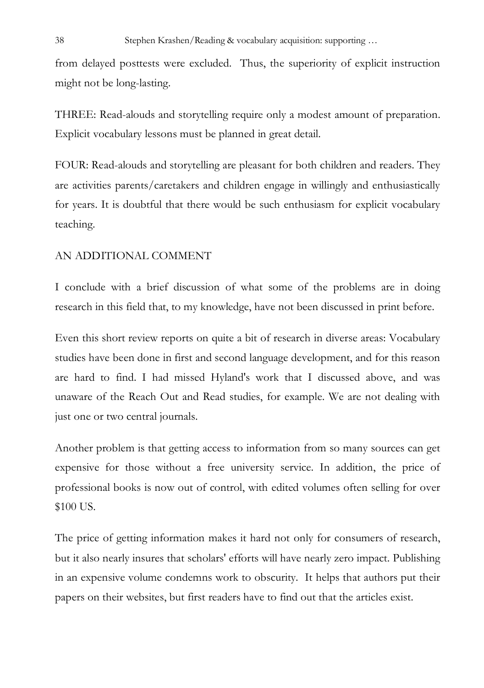from delayed posttests were excluded. Thus, the superiority of explicit instruction might not be long-lasting.

THREE: Read-alouds and storytelling require only a modest amount of preparation. Explicit vocabulary lessons must be planned in great detail.

FOUR: Read-alouds and storytelling are pleasant for both children and readers. They are activities parents/caretakers and children engage in willingly and enthusiastically for years. It is doubtful that there would be such enthusiasm for explicit vocabulary teaching.

#### AN ADDITIONAL COMMENT

I conclude with a brief discussion of what some of the problems are in doing research in this field that, to my knowledge, have not been discussed in print before.

Even this short review reports on quite a bit of research in diverse areas: Vocabulary studies have been done in first and second language development, and for this reason are hard to find. I had missed Hyland's work that I discussed above, and was unaware of the Reach Out and Read studies, for example. We are not dealing with just one or two central journals.

Another problem is that getting access to information from so many sources can get expensive for those without a free university service. In addition, the price of professional books is now out of control, with edited volumes often selling for over \$100 US.

The price of getting information makes it hard not only for consumers of research, but it also nearly insures that scholars' efforts will have nearly zero impact. Publishing in an expensive volume condemns work to obscurity. It helps that authors put their papers on their websites, but first readers have to find out that the articles exist.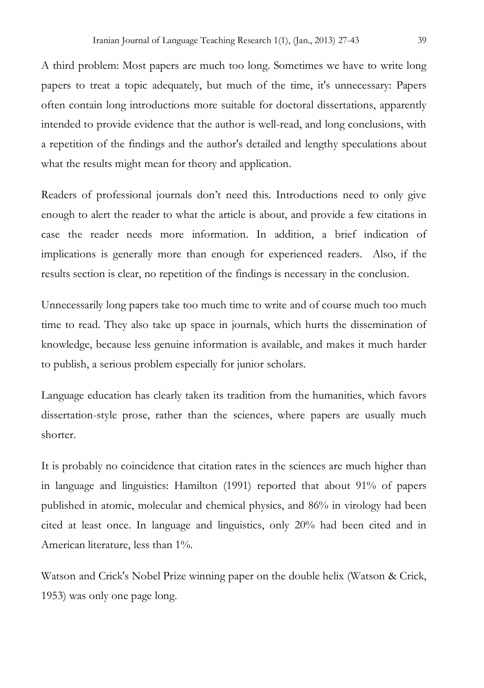A third problem: Most papers are much too long. Sometimes we have to write long papers to treat a topic adequately, but much of the time, it's unnecessary: Papers often contain long introductions more suitable for doctoral dissertations, apparently intended to provide evidence that the author is well-read, and long conclusions, with a repetition of the findings and the author's detailed and lengthy speculations about what the results might mean for theory and application.

Readers of professional journals don't need this. Introductions need to only give enough to alert the reader to what the article is about, and provide a few citations in case the reader needs more information. In addition, a brief indication of implications is generally more than enough for experienced readers. Also, if the results section is clear, no repetition of the findings is necessary in the conclusion.

Unnecessarily long papers take too much time to write and of course much too much time to read. They also take up space in journals, which hurts the dissemination of knowledge, because less genuine information is available, and makes it much harder to publish, a serious problem especially for junior scholars.

Language education has clearly taken its tradition from the humanities, which favors dissertation-style prose, rather than the sciences, where papers are usually much shorter.

It is probably no coincidence that citation rates in the sciences are much higher than in language and linguistics: Hamilton (1991) reported that about 91% of papers published in atomic, molecular and chemical physics, and 86% in virology had been cited at least once. In language and linguistics, only 20% had been cited and in American literature, less than 1%.

Watson and Crick's Nobel Prize winning paper on the double helix (Watson & Crick, 1953) was only one page long.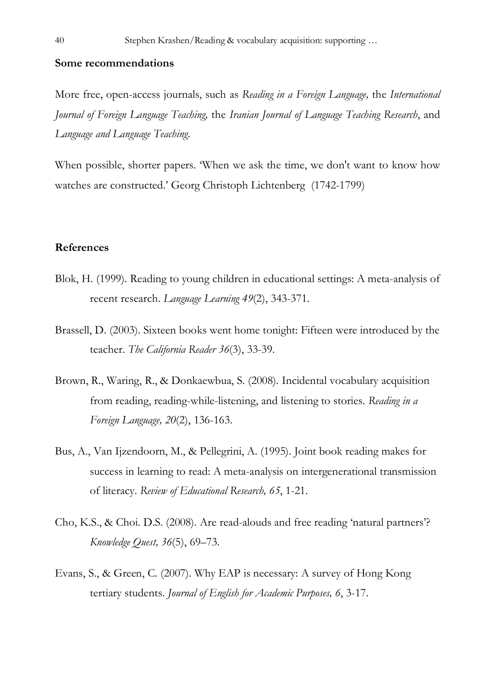#### **Some recommendations**

More free, open-access journals, such as *Reading in a Foreign Language,* the *International Journal of Foreign Language Teaching,* the *Iranian Journal of Language Teaching Research*, and *Language and Language Teaching*.

When possible, shorter papers. 'When we ask the time, we don't want to know how watches are constructed.' Georg Christoph Lichtenberg (1742-1799)

#### **References**

- Blok, H. (1999). Reading to young children in educational settings: A meta-analysis of recent research. *Language Learning 49*(2), 343-371.
- Brassell, D. (2003). Sixteen books went home tonight: Fifteen were introduced by the teacher. *The California Reader 36*(3), 33-39.
- Brown, R., Waring, R., & Donkaewbua, S. (2008). Incidental vocabulary acquisition from reading, reading-while-listening, and listening to stories. *Reading in a Foreign Language, 20*(2), 136-163.
- Bus, A., Van Ijzendoorn, M., & Pellegrini, A. (1995). Joint book reading makes for success in learning to read: A meta-analysis on intergenerational transmission of literacy. *Review of Educational Research, 65*, 1-21.
- Cho, K.S., & Choi. D.S. (2008). Are read-alouds and free reading 'natural partners'? *Knowledge Quest, 36*(5), 69–73.
- Evans, S., & Green, C. (2007). Why EAP is necessary: A survey of Hong Kong tertiary students. *Journal of English for Academic Purposes, 6*, 3-17.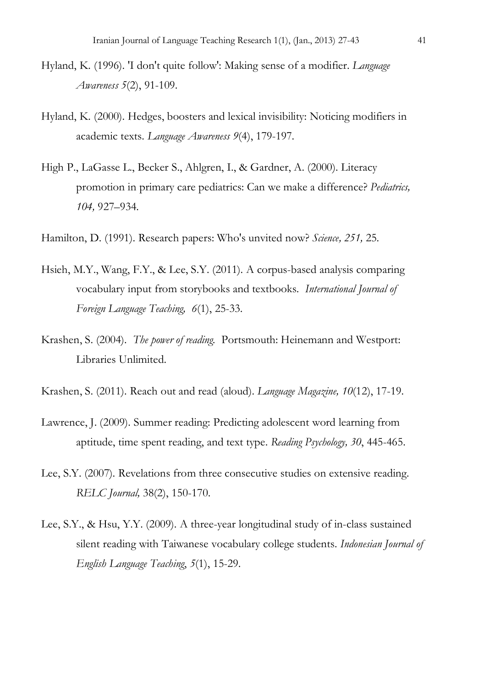- Hyland, K. (1996). 'I don't quite follow': Making sense of a modifier. *Language Awareness 5*(2), 91-109.
- Hyland, K. (2000). Hedges, boosters and lexical invisibility: Noticing modifiers in academic texts. *Language Awareness 9*(4), 179-197.
- High P., LaGasse L., Becker S., Ahlgren, I., & Gardner, A. (2000). Literacy promotion in primary care pediatrics: Can we make a difference? *Pediatrics, 104,* 927–934.
- Hamilton, D. (1991). Research papers: Who's unvited now? *Science, 251,* 25.
- Hsieh, M.Y., Wang, F.Y., & Lee, S.Y. (2011). A corpus-based analysis comparing vocabulary input from storybooks and textbooks. *International Journal of Foreign Language Teaching, 6*(1), 25-33.
- Krashen, S. (2004). *The power of reading.* Portsmouth: Heinemann and Westport: Libraries Unlimited.
- Krashen, S. (2011). Reach out and read (aloud). *Language Magazine, 10*(12), 17-19.
- Lawrence, J. (2009). Summer reading: Predicting adolescent word learning from aptitude, time spent reading, and text type. *Reading Psychology, 30*, 445-465.
- Lee, S.Y. (2007). Revelations from three consecutive studies on extensive reading. *RELC Journal,* 38(2), 150-170.
- Lee, S.Y., & Hsu, Y.Y. (2009). A three-year longitudinal study of in-class sustained silent reading with Taiwanese vocabulary college students. *Indonesian Journal of English Language Teaching*, *5*(1), 15-29.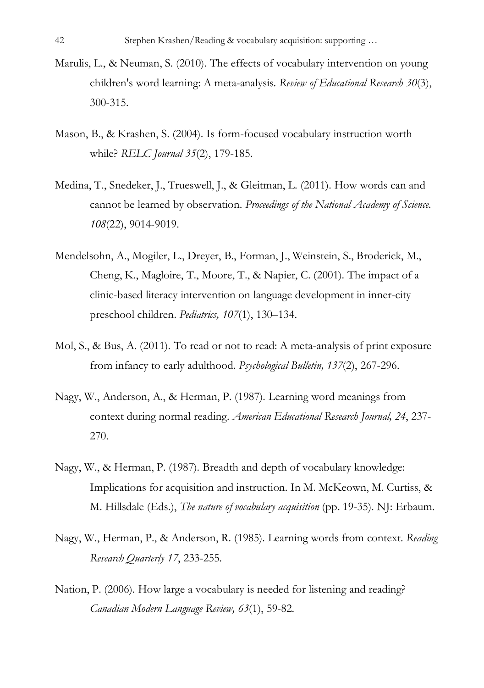- Marulis, L., & Neuman, S. (2010). The effects of vocabulary intervention on young children's word learning: A meta-analysis*. Review of Educational Research 30*(3), 300-315.
- Mason, B., & Krashen, S. (2004). Is form-focused vocabulary instruction worth while? *RELC Journal 35*(2), 179-185.
- Medina, T., Snedeker, J., Trueswell, J., & Gleitman, L. (2011). How words can and cannot be learned by observation*. Proceedings of the National Academy of Science. 108*(22), 9014-9019.
- Mendelsohn, A., Mogiler, L., Dreyer, B., Forman, J., Weinstein, S., Broderick, M., Cheng, K., Magloire, T., Moore, T., & Napier, C. (2001). The impact of a clinic-based literacy intervention on language development in inner-city preschool children. *Pediatrics, 107*(1), 130–134.
- Mol, S., & Bus, A. (2011). To read or not to read: A meta-analysis of print exposure from infancy to early adulthood. *Psychological Bulletin, 137*(2), 267-296.
- Nagy, W., Anderson, A., & Herman, P. (1987). Learning word meanings from context during normal reading. *American Educational Research Journal, 24*, 237- 270.
- Nagy, W., & Herman, P. (1987). Breadth and depth of vocabulary knowledge: Implications for acquisition and instruction. In M. McKeown, M. Curtiss, & M. Hillsdale (Eds.), *The nature of vocabulary acquisition* (pp. 19-35). NJ: Erbaum.
- Nagy, W., Herman, P., & Anderson, R. (1985). Learning words from context. *Reading Research Quarterly 17*, 233-255.
- Nation, P. (2006). How large a vocabulary is needed for listening and reading? *Canadian Modern Language Review, 63*(1), 59-82.